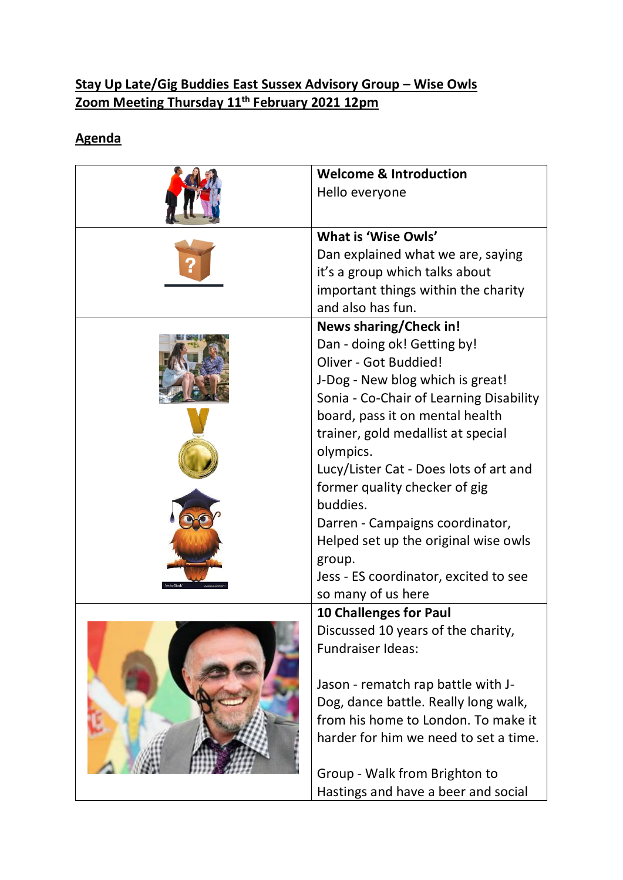## **Stay Up Late/Gig Buddies East Sussex Advisory Group – Wise Owls Zoom Meeting Thursday 11th February 2021 12pm**

## **Agenda**

| <b>Welcome &amp; Introduction</b>       |
|-----------------------------------------|
| Hello everyone                          |
| What is 'Wise Owls'                     |
| Dan explained what we are, saying       |
| it's a group which talks about          |
| important things within the charity     |
| and also has fun.                       |
| <b>News sharing/Check in!</b>           |
| Dan - doing ok! Getting by!             |
| Oliver - Got Buddied!                   |
| J-Dog - New blog which is great!        |
| Sonia - Co-Chair of Learning Disability |
| board, pass it on mental health         |
| trainer, gold medallist at special      |
| olympics.                               |
| Lucy/Lister Cat - Does lots of art and  |
| former quality checker of gig           |
| buddies.                                |
| Darren - Campaigns coordinator,         |
| Helped set up the original wise owls    |
| group.                                  |
| Jess - ES coordinator, excited to see   |
| so many of us here                      |
| 10 Challenges for Paul                  |
| Discussed 10 years of the charity,      |
| <b>Fundraiser Ideas:</b>                |
|                                         |
| Jason - rematch rap battle with J-      |
| Dog, dance battle. Really long walk,    |
| from his home to London. To make it     |
| harder for him we need to set a time.   |
| Group - Walk from Brighton to           |
| Hastings and have a beer and social     |